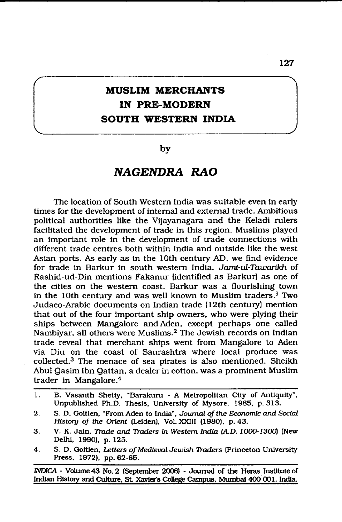# **MUSLIM MERCHANTS IN PRE-MODERN SOUTH WESTERN INDIA**

## by

## *NAGENDRA RAO*

The location of South Western India was suitable even in early times for the development of internal and external trade. Ambitious political authorities like the Vijayanagara and the Keladi rulers facilitated the development of trade in this region. Muslims played an important role in the development of trade connections with different trade centres both within India and outside like the west Asian ports. As early as in the 10th century AD, we find evidence for trade in Barkur in south western India. *Jami-ul-Tawarikh* of Rashid-ud-Din mentions Fakanur {identified as Barkur) as one of the cities on the western coast. Barkur was a flourishing town in the 10th century and was well known to Muslim traders.<sup>1</sup> Two Judaeo-Arabic documents on Indian trade (12th century) mention that out of the four important ship owners, who were plying their ships between Mangalore and Aden, except perhaps one called Nambiyar, all others were Muslims.2 The Jewish records on Indian trade reveal that merchant ships went from Mangalore to Aden via Diu on the coast of Saurashtra where local produce was collected.3 The menace of sea pirates is also mentioned. Sheikh Abul Qasim Ibn Qattan, a dealer in cotton, was a prominent Muslim trader in Mangalore.4

- **1. B. Vasanth Shetty, "Barakuru A Metropolitan City of Antiquity", Unpublished Ph.D. Thesis, University of Mysore, 1985, p. 313.**
- **2. S. D. Goitien, "From Aden to India",** *Journal of the Economic and Social History of the Orient* **(Leiden), Vol. XXIII (1980), p. 43.**
- **3. V. K. Jain,** *Trade and Traders in Western India (A.D.* **J000-J300} (New Delhi, 1990), p. 125.**
- **4. S. D. Goitien,** *Letters of Medieval Jewish Traders* **(Princeton University Press, 1972), pp. 62-65.**

*1NDICA -* **Volume 43 No. 2 (September 2006) - Journal of the Heras Institute of Indian History and Culture, St Xavier's College Campus, Mumbai 400 001. India.**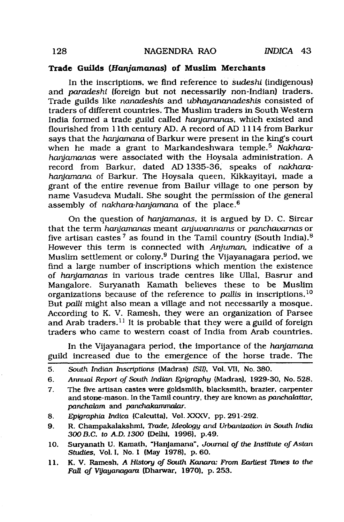#### **Trade Guilds** *(Hanjamanas)* **of Muslim Merchants**

In the inscriptions, we find reference to *Sudeshi* (indigenous) and *paradeshi* (foreign but not necessarily non-Indian) traders. Trade guilds like *nanadeshis* and *ubhayananadeshis* consisted of traders of different countries. The Muslim traders in South Western India formed a trade guild called *haryamanas,* which existed and flourished from 11th century AD. A record of AD 1114 from Barkur says that the *hanjamana* of Barkur were present in the king's court when he made a grant to Markandeshwara temple.5 *Nakharaharyamanas* were associated with the Hoysala administration. A record from Barkur, dated AD 1335-36, speaks of *nakharaharyamana* of Barkur. The Hoysala queen, Kikkayitayi, made a grant of the entire revenue from Bailur village to one person by name Vasudeva Mudali. She sought the permission of the general assembly of *nakhara-hanjamana* of the place.<sup>6</sup>

On the question of *hanjamanas,* it is argued by D. C. Sircar that the term *haryamanas* meant *anjuvannams* or *panchavamas* or five artisan castes<sup>7</sup> as found in the Tamil country (South India).<sup>8</sup> However this term is connected with *Anjuman,* indicative of a Muslim settlement or colony.9 During the Vijayanagara period, we find a large number of inscriptions which mention the existence of *haryamanas* in various trade centres like Ullal, Basrur and Mangalore. Suryanath Kamath believes these to be Muslim organizations because of the reference to *pallis* in inscriptions.10 But *paJtli* might also mean a village and not necessarily a mosque. According to K. V. Ramesh, they were an organization of Parsee and Arab traders.<sup>11</sup> It is probable that they were a guild of foreign traders who came to western coast of India from Arab countries.

In the Vijayanagara period, the importance of the *haniamana* guild increased due to the emergence of the horse trade. The

- **6.** *Annual Report of South Indian Epigraphy* **(Madras), 1929-30, No. 528.**
- **7. The five artisan castes were goldsmith, blacksmith, brazier, carpenter and stone-mason. In the Tamil country, they are known as** *panchalattar, panchalam* **and** *panchakammalar.*
- **8.** *Epigraphia Indica* **(Calcutta), Vol. XXXV, pp. 291-292.**
- **9. R. Champakalakshmi,** *Trade, Ideology and Urbanization in South India 300 B.C. to A.D. 1300* **(Delhi, 1996), p.49.**
- **10. Suiyanath U. Kamath, "Hanjamana",** *Journal of the Institute of Asian Studies,* **Vol. I, No. 1 (May 1978), p. 60.**
- **11. K. V. Ramesh,** *A History of South Kanara: From Earliest Times to the Fall of Vijayanagara* **(Dharwar, 1970), p. 253.**

**<sup>5.</sup>** *South Indian Inscriptions* **(Madras)** *(SU),* **Vol. VII, No. 380.**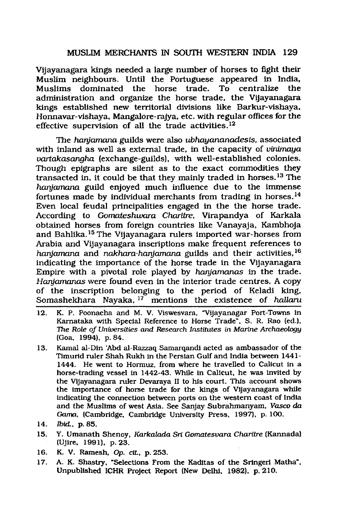### MUSLIM MERCHANTS IN SOUTH WESTERN INDIA 129

Vijayanagara kings needed a large number of horses to fight their Muslim neighbours. Until the Portuguese appeared in India, dominated the horse trade. To centralize the administration and organize the horse trade, the Vijayanagara kings established new territorial divisions like Barkur-vishaya, Honnavar-vishaya, Mangalore-rajya, etc. with regular offices for the effective supervision of all the trade activities.<sup>12</sup>

The *hanjamana* guilds were also *ubhayananadesis*, associated with inland as well as external trade, in the capacity of *vinimaya vartakascmgha* (exchange-guilds), with well-established colonies. Though epigraphs are silent as to the exact commodities they transacted in, it could be that they mainly traded in horses.13 The *hanjamana* guild enjoyed much influence due to the immense fortunes made by individual merchants from trading in horses. $^{14}$ Even local feudal principalities engaged in the the horse trade. According to *Gomateshwara Charitre,* Virapandya of Karkala obtained horses from foreign countries like Vanayaja, Kambhoja and Bahlika.<sup>15</sup> The Vijayanagara rulers imported war-horses from Arabia and Vijayanagara inscriptions make frequent references to *hanjamana* and *nakhara-hargamana* guilds and their activities,16 indicating the importance of the horse trade in the Vijayanagara Empire with a pivotal role played by *hanjamanas* in the trade. *Hanjamanas* were found even in the interior trade centres. A copy of the inscription belonging to the period of Keladi king, Somashekhara Nayaka, 17 mentions the existence of *haUaru*

- **12. K. P. Poonacha and M. V. Viswesvara, "Vijayanagar Port-Towns in Karnataka with Special Reference to Horse Trade", S. R. Rao (ed.),** *The Role of Universities and Research Institutes in Marine Archaeology* **(Goa, 1994), p. 84.**
- **13. Kamal al-Din 'Abd al-Razzaq Samarqandi acted as ambassador of the Timurid ruler Shah Rukh in the Persian Gulf and India between 1441- 1444. He went to Hormuz, from where he travelled to Calicut in a horse-trading vessel in 1442-43. While in Calicut, he was invited by the Vijayanagara ruler Devaraya II to his court. This account shows the importance of horse trade for the kings of Vijayanagara while indicating the connection between ports on the western coast of India and the Muslims of west Asia. See Sanjay Subrahmanyam,** *Vasco da Gama,* **(Cambridge, Cambridge University Press, 1997), p. 100.**
- **14.** *IbieL,* **p. 85.**
- **15. Y. Umanath Shenoy,** *Karkalada Sri Gomatesvara Charitre* **(Kannada) (Ujire, 1991), p. 23.**
- **16. K. V. Ramesh,** *Op. cit,* **p. 253.**
- **17. A. K. Shastry, "Selections From the Kaditas of the Sringeri Matha", Unpublished ICHR Project Report (New Delhi, 1982), p. 210.**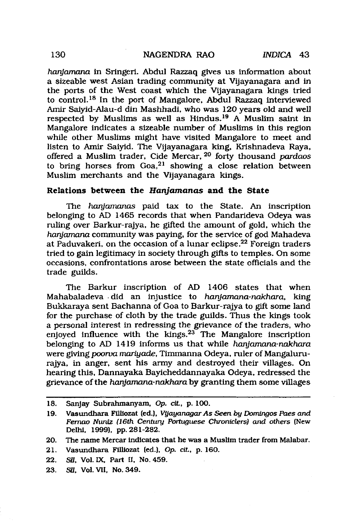#### 130 NAGENDRA RAO *INDICA* 43

*hanjamana* in Sringeri. Abdul Razzaq gives us information about a sizeable west Asian trading community at Vijayanagara and in the ports of the West coast which the Vijayanagara kings tried to control.18 In the port of Mangalore, Abdul Razzaq interviewed Amir Saiyid-Alau-d din Mashhadi, who was 120 years old and well respected by Muslims as well as Hindus.19 A Muslim saint in Mangalore indicates a sizeable number of Muslims in this region while other Muslims might have visited Mangalore to meet and listen to Amir Saiyid. The Vijayanagara king, Krishnadeva Raya, offered a Muslim trader, Cide Mercar, 20 forty thousand *pardaos* to bring horses from Goa,21 showing a close relation between Muslim merchants and the Vijayanagara kings.

#### **Relations between the** *Hanjamanas* **and the State**

The *hanjamanas* paid tax to the State. An inscription belonging to AD 1465 records that when Pandarideva Odeya was ruling over Barkur-rajya, he gifted the amount of gold, which the *hanjamana* community was paying, for the service of god Mahadeva at Paduvakeri, on the occasion of a lunar eclipse.22 Foreign traders tried to gain legitimacy in society through gifts to temples. On some occasions, confrontations arose between the state officials and the trade guilds.

The Barkur inscription of AD 1406 states that when Mahabaladeva did an injustice to *hanjamana-nakhara,* king Bukkaraya sent Bachanna of Goa to Barkur-rajya to gift some land for the purchase of cloth by the trade guilds. Thus the kings took a personal interest in redressing the grievance of the traders, who enjoyed influence with the kings.<sup>23</sup> The Mangalore inscription belonging to AD 1419 informs us that while *hanjamana-nakhara* were giving *poorva mariyade,* Timmanna Odeya, ruler of Mangalururajya, in anger, sent his army and destroyed their villages. On hearing this, Dannayaka Bayicheddannayaka Odeya, redressed the grievance of the *hanjamana-nakhara* by granting them some villages

**23.** *SB,* **Vol. VII, No. 349.**

**<sup>18.</sup> Sanjay Subrahmanyam,** *Op. cit,* **p. 100.**

**<sup>19.</sup> Vasundhara FlUiozat (ed.),** *VyayanagarAs Seen by Domingos Paes and Femao Nuniz (16th Century Portuguese Chroniclers) and others* **(New Delhi, 1999), pp. 281-282.**

**<sup>20.</sup> The name Mercar indicates that he was a Muslim trader from Malabar.**

**<sup>21.</sup> Vasundhara Filliozat (ed.),** *Op. cit,* **p. 160.**

<sup>22.</sup> SII. Vol. IX. Part II, No. 459.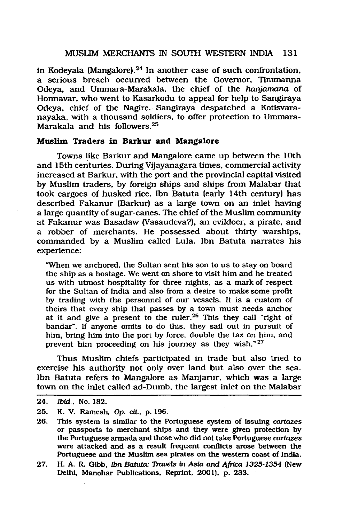#### MUSLIM MERCHANTS IN SOUTH WESTERN INDIA 131

in Kodeyala (Mangalore).24 In another case of such confrontation, a serious breach occurred between the Governor, Timmanna Odeya, and Ummara-Marakala, the chief of the *hanjamana* of Honnavar, who went to Kasarkodu to appeal for help to Sangiraya Odeya, chief of the Nagire. Sangiraya despatched a Kotisvaranayaka, with a thousand soldiers, to offer protection to Ummara-Marakala and his followers.25

#### **Muslim Traders in Barkur and Mangalore**

Towns like Barkur and Mangalore came up between the 10th and 15th centuries. During Vijayanagara times, commercial activity increased at Barkur, with the port and the provincial capital visited by Muslim traders, by foreign ships and ships from Malabar that took cargoes of husked rice. Ibn Batuta (early 14th century) has described Fakanur (Barkur) as a large town on an inlet having a large quantity of sugar-canes. The chief of the Muslim community at Fakanur was Basadaw (Vasaudeva?), an evildoer, a pirate, and a robber of merchants. He possessed about thirty warships, commanded by a Muslim called Lula. Ibn Batuta narrates his experience:

**"When we anchored, the Sultan sent his son to us to stay on board the ship as a hostage. We went on shore to visit him and he treated us with utmost hospitality for three nights, as a mark of respect for the Sultan of India and also from a desire to make some profit by trading with the personnel of our vessels. It is a custom of theirs that every ship that passes by a town must needs anchor at it and give a present to the ruler.26 This they call "right of bandar". If anyone omits to do this, they sail out in pursuit of him, bring him into the port by force, double the tax on him, and** prevent him proceeding on his journey as they wish."<sup>27</sup>

Thus Muslim chiefs participated in trade but also tried to exercise his authority not only over land but also over the sea. Ibn Batuta refers to Mangalore as Manjarur, which was a large town on the inlet called ad-Dumb, the largest inlet on the Malabar

**<sup>24.</sup>** *Ibid.,* **No. 182.**

**<sup>25.</sup> K. V. Ramesh, Op.** *cit.,* **p. 196.**

**<sup>26.</sup> This system is similar to the Portuguese system of issuing** *cartazes* **or passports to merchant ships and they were given protection by the Portuguese armada and those who did not take Portuguese** *cartazes* **were attacked and as a result frequent conflicts arose between the Portuguese and the Muslim sea pirates on the western coast of India.**

**<sup>27.</sup> H. A. R. Gibb,** *Ibn Batuta: Travels in Asia and Africa 1325-1354* **(New Delhi, Manohar Publications, Reprint, 2001), p. 233.**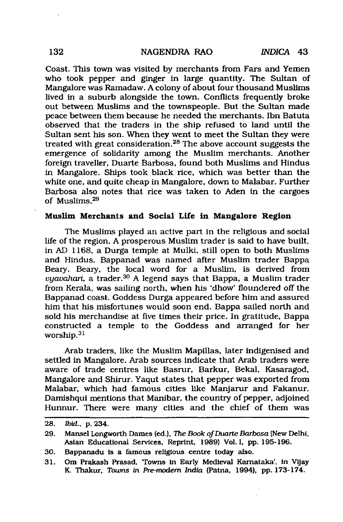Coast. This town was visited by merchants from Fars and Yemen who took pepper and ginger in large quantity. The Sultan of Mangalore was Ramadaw. A colony of about four thousand Muslims lived in a suburb alongside the town. Conflicts frequently broke out between Muslims and the townspeople. But the Sultan made peace between them because he needed the merchants. Ibn Batuta observed that the traders in the ship refused to land until the Sultan sent his son. When they went to meet the Sultan they were treated with great consideration.28 The above account suggests the emergence of solidarity among the Muslim merchants. Another foreign traveller, Duarte Barbosa, found both Muslims and Hindus in Mangalore. Ships took black rice, which was better than the white one, and quite cheap in Mangalore, down to Malabar. Further Barbosa also notes that rice was taken to Aden in the cargoes of Muslims.29

#### **Muslim Merchants and Social Life in Mangalore Region**

The Muslims played an active part in the religious and social life of the region. A prosperous Muslim trader is said to have built, in AD 1168, a Durga temple at Mulki, still open to both Muslims and Hindus. Bappanad was named after Muslim trader Bappa Beary. Beary, the local word for a Muslim, is derived from *vyavahari,* a trader.30 A legend says that Bappa, a Muslim trader from Kerala, was sailing north, when his 'dhow' floundered off the Bappanad coast. Goddess Durga appeared before him and assured him that his misfortunes would soon end. Bappa sailed north and sold his merchandise at five times their price. In gratitude, Bappa constructed a temple to the Goddess and arranged for her worship.31

Arab traders, like the Muslim Mapillas, later indigenised and settled in Mangalore. Arab sources indicate that Arab traders were aware of trade centres like Basrur, Barkur, Bekal, Kasaragod, Mangalore and Shirur. Yaqut states that pepper was exported from Malabar, which had famous cities like Manjarur and Fakanur. Damishqui mentions that Manibar, the country of pepper, adjoined Hurmur. There were many cities and the chief of them was

**<sup>28.</sup>** *Ibid.,* **p. 234.**

**<sup>29.</sup> Mansel Longworth Dames (ed.),** *The Book of Duarte Barbosa* **(New Delhi, Asian Educational Services, Reprint, 1989) Vol. I, pp. 195-196.**

**<sup>30.</sup> Bappanadu is a famous religious centre today also.**

**<sup>31.</sup> Om Prakash Prasad, Towns in Early Medieval Karnataka', in Vijay K. Thakur, Toums** *in Pre-modem India* **(Patna, 1994), pp. 173-174.**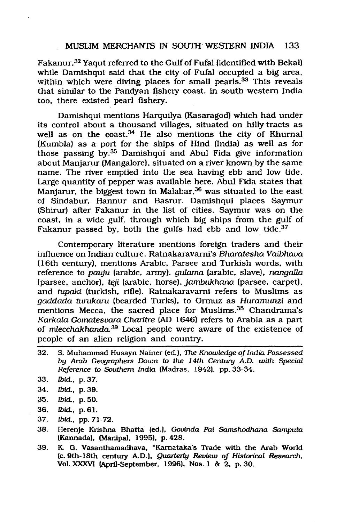#### MUSLIM MERCHANTS IN SOUTH WESTERN INDIA 133

Fakanur.32 Yaqut referred to the Gulf of Fufal (identified with Bekal) while Damishqui said that the city of Fufal occupied a big area, within which were diving places for small pearls.<sup>33</sup> This reveals that similar to the Pandyan fishery coast, in south western India too, there existed pearl fishery.

Damishqui mentions Harquilya (Kasaragod) which had under its control about a thousand villages, situated on hilly tracts as well as on the coast. $34$  He also mentions the city of Khurnal (Kumbla) as a port for the ships of Hind (India) as well as for those passing by.35 Damishqui and Abul Fida give information about Manjarur (Mangalore), situated on a river known by the same name. The river emptied into the sea having ebb and low tide. Large quantity of pepper was available here. Abul Fida states that Manjarur, the biggest town in Malabar,<sup>36</sup> was situated to the east of Sindabur, Hannur and Basrur. Damishqui places Saymur (Shirur) after Fakanur in the list of cities. Saymur was on the coast, in a wide gulf, through which big ships from the gulf of Fakanur passed by, both the gulfs had ebb and low tide.<sup>37</sup>

Contemporary literature mentions foreign traders and their influence on Indian culture. Ratnakaravami's *Bharatesha Vaibhava* (16th century), mentions Arabic, Parsee and Turkish words, with reference to *pauju* (arabic, army), *gulama* (arabic, slave), *nangalla* (parsee, anchor), *teji* (arabic, horse), *jambukhana* (parsee, carpet), and *tupaki* (turkish, rifle). Ratnakaravami refers to Muslims as *gaddada turukaru* (bearded Turks), to Ormuz as *Huramunzi* and mentions Mecca, the sacred place for Muslims.<sup>38</sup> Chandrama's *Korkala Gomatesvara Charitre* (AD 1646) refers to Arabia as a part of *mlecchakhanda.*39 Local people were aware of the existence of people of an alien religion and country.

- **32. S. Muhammad Husayn Nainer (ed.),** *The Knowledge of India Possessed by Arab Geographers Down to the 14th Centwy A.D. with Special Reference to Southern India* **(Madras, 1942), pp. 33-34.**
- **33.** *Ibid.,* **p. 37.**
- **34.** *Ibid.,* **p. 39.**
- **35.** *Ibid.,* **p. 50.**
- **36.** *Ibid.,* **p. 61.**
- **37.** *Ibid.,* **pp. 71-72.**
- **38. Herenje Krishna Bhatta (ed.),** *Govinda Pai* **Samshodhana** *Samputa* **(Kannada), (Manipal, 1995), p. 428.**
- **39. K. G. Vasanthamadhava, "Karnataka's Trade with the Arab World** (c. 9th-18th century A.D.), *Quarterly Review of Historical Research*, **Vol. XXXVI (April-September, 1996), Nos. 1 & 2, p. 30.**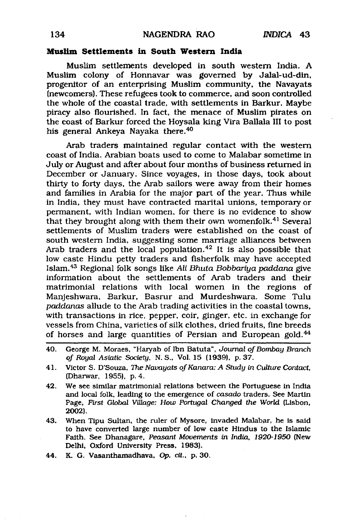#### **Muslim Settlements in South Western India**

Muslim settlements developed in south western India. A Muslim colony of Honnavar was governed by Jalal-ud-din, progenitor of an enterprising Muslim community, the Navayats (newcomers). These refugees took to commerce, and soon controlled the whole of the coastal trade, with settlements in Barkur. Maybe piracy also flourished. In fact, the menace of Muslim pirates on the coast of Barkur forced the Hoysala king Vira Ballala III to post his general Ankeya Nayaka there.40

Arab traders maintained regular contact with the western coast of India. Arabian boats used to come to Malabar sometime in July or August and after about four months of business returned in December or January. Since voyages, in those days, took about thirty to forty days, the Arab sailors were away from their homes and families in Arabia for the major part of the year. Thus while in India, they must have contracted marital unions, temporary or permanent, with Indian women, for there is no evidence to show that they brought along with them their own womenfolk.41 Several settlements of Muslim traders were established on the coast of south western India, suggesting some marriage alliances between Arab traders and the local population.<sup>42</sup> It is also possible that low caste Hindu petty traders and fisherfolk may have accepted Islam.43 Regional folk songs like *Ali Bhuta Bobbariya paddana* give information about the settlements of Arab traders and their matrimonial relations with local women in the regions of Manjeshwara, Barkur, Basrur and Murdeshwara. Some Tulu *paddanas* allude to the Arab trading activities in the coastal towns, with transactions in rice, pepper, coir, ginger, etc. in exchange for vessels from China, varieties of silk clothes, dried fruits, fine breeds of horses and large quantities of Persian and European gold.<sup>44</sup>

**43. When Tipu Sultan, the ruler of Mysore, invaded Malabar, he is said to have converted large number of low caste Hindus to the Islamic Faith. See Dhanagare,** *Peasant Movements in India, 1920-1950* **(New Delhi, Oxford University Press, 1983).**

**<sup>40.</sup> George M. Moraes, "Haryab of Ibn Batuta",** *Journal of Bombay Branch of Royal Asiatic Society***, N. S., Vol. 15 (1939), p. 37.**

**<sup>41.</sup> Victor S. D'Souza,** *The Navayats o/Kanara: A Study in Culture Contact,* **(Dharwar, 1955), p. 4.**

**<sup>42.</sup> We see similar matrimonial relations between the Portuguese in India and local folk, leading to the emergence of** *casado* **traders. See Martin Page, First** *Global Village: How Portugal Changed the World* **(Lisbon, 2002).**

**<sup>44.</sup> K. G. Vasanthamadhava, Op.** *cit.,* **p. 30.**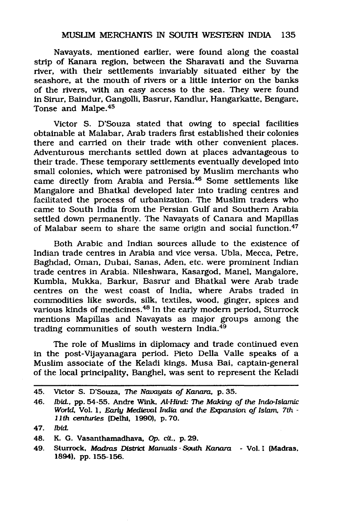Navayats, mentioned earlier, were found along the coastal strip of Kanara region, between the Sharavati and the Suvama river, with their settlements invariably situated either by the seashore, at the mouth of rivers or a little interior on the banks of the rivers, with an easy access to the sea. They were found in Sirur, Baindur, Gangolli, Basrur, Kandlur, Hangarkatte, Bengare, Tonse and Malpe.45

Victor S. D'Souza stated that owing to special facilities obtainable at Malabar, Arab traders first established their colonies there and carried on their trade with other convenient places. Adventurous merchants settled down at places advantageous to their trade. These temporary settlements eventually developed into small colonies, which were patronised by Muslim merchants who came directly from Arabia and Persia.46 Some settlements like Mangalore and Bhatkal developed later into trading centres and facilitated the process of urbanization. The Muslim traders who came to South India from the Persian Gulf and Southern Arabia settled down permanently. The Navayats of Canara and Mapillas of Malabar seem to share the same origin and social function.<sup>47</sup>

Both Arabic and Indian sources allude to the existence of Indian trade centres in Arabia and vice versa. Ubla, Mecca, Petre, Baghdad, Oman, Dubai, Sanas, Aden, etc. were prominent Indian trade centres in Arabia. Nileshwara, Kasargod, Manel, Mangalore, Kumbla, Mukka, Barkur, Basrur and Bhatkal were Arab trade centres on the west coast of India, where Arabs traded in commodities like swords, silk, textiles, wood, ginger, spices and various kinds of medicines.48 In the early modem period, Sturrock mentions Mapillas and Navayats as major groups among the trading communities of south western India.49

The role of Muslims in diplomacy and trade continued even in the post-Vijayanagara period. Pieto Della Valle speaks of a Muslim associate of the Keladi kings. Musa Bai, captain-general of the local principality, Banghel, was sent to represent the Keladi

**<sup>45.</sup> Victor S. D'Souza, The** *Navayats of Kanara,* **p. 35.**

**<sup>46.</sup> ibid., pp. 54-55. Andre Wink,** *Al-Hind: The Making of the Indo-Islamic World,* **Vol. 1,** *Early Medieval India and the Expansion of Islam, 7th* **-** *11th* **centuries {Delhi, 1990), p. 70.**

**<sup>47.</sup>** *Ibid.*

**<sup>48.</sup> K. G. Vasanthamadhava, Op. cit., p. 29.**

**<sup>49.</sup> Sturrock,** *Madras District Manuals - South Kanara* **- Vol. I (Madras, 1894), pp. 155-156.**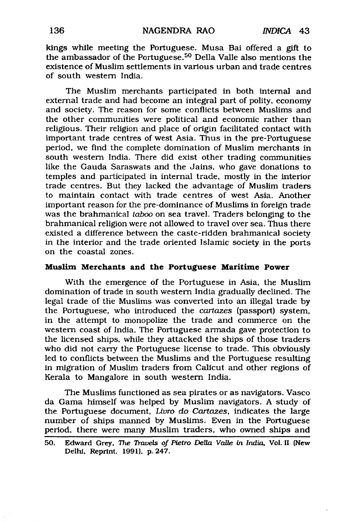kings while meeting the Portuguese. Musa Bai offered a gift to the ambassador of the Portuguese.50 Della Valle also mentions the existence of Muslim settlements in various urban and trade centres of south western India.

The Muslim merchants participated in both internal and external trade and had become an integral part of polity, economy and society. The reason for some conflicts between Muslims and the other communities were political and economic rather than religious. Their religion and place of origin facilitated contact with important trade centres of west Asia. Thus in the pre-Portuguese period, we find the complete domination of Muslim merchants in south western India. There did exist other trading communities like the Gauda Saraswats and the Jains, who gave donations to temples and participated in internal trade, mostly in the interior trade centres. But they lacked the advantage of Muslim traders to maintain contact with trade centres of west Asia. Another important reason for the pre-dominance of Muslims in foreign trade was the brahmanical *taboo* on sea travel. Traders belonging to the brahmanical religion were not allowed to travel over sea. Thus there existed a difference between the caste-ridden brahmanical society in the interior and the trade oriented Islamic society in the ports on the coastal zones.

#### **Muslim Merchants and the Portuguese Maritime Power**

With the emergence of the Portuguese in Asia, the Muslim domination of trade in south western India gradually declined. The legal trade of the Muslims was converted into an illegal trade by the Portuguese, who introduced the *cartazes* (passport) system, in the attempt to monopolize the trade and commerce on the western coast of India. The Portuguese armada gave protection to the licensed ships, while they attacked the ships of those traders who did not carry the Portuguese license to trade. This obviously led to conflicts between the Muslims and the Portuguese resulting in migration of Muslim traders from Calicut and other regions of Kerala to Mangalore in south western India.

The Muslims functioned as sea pirates or as navigators. Vasco da Gama himself was helped by Muslim navigators. A study of the Portuguese document, *Livro do Cartazes,* indicates the large number of ships manned by Muslims. Even in the Portuguese period, there were many Muslim traders, who owned ships and

**<sup>50.</sup> Edward Grey,** *The Travels of Pietro Della Valle in India,* **Vol. II (New Delhi, Reprint, 1991), p. 247.**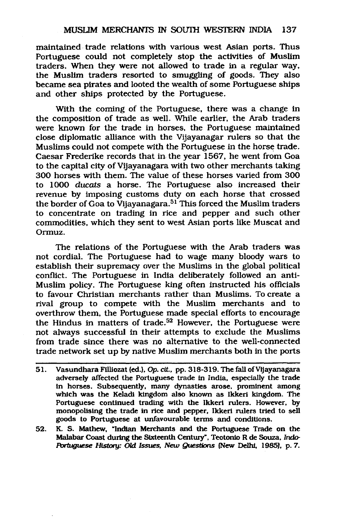maintained trade relations with various west Asian ports. Thus Portuguese could not completely stop the activities of Muslim traders. When they were not allowed to trade in a regular way, the Muslim traders resorted to smuggling of goods. They also became sea pirates and looted the wealth of some Portuguese ships and other ships protected by the Portuguese.

With the coming of the Portuguese, there was a change in the composition of trade as well. While earlier, the Arab traders were known for the trade in horses, the Portuguese maintained close diplomatic alliance with the Vijayanagar rulers so that the Muslims could not compete with the Portuguese in the horse trade. Caesar Frederike records that in the year 1567, he went from Goa to the capital city of Vijayanagara with two other merchants taking 300 horses with them. The value of these horses varied from 300 to 1000 *ducats* a horse. The Portuguese also increased their revenue by imposing customs duty on each horse that crossed the border of Goa to Vijayanagara.51 This forced the Muslim traders to concentrate on trading in rice and pepper and such other commodities, which they sent to west Asian ports like Muscat and Ormuz.

The relations of the Portuguese with the Arab traders was not cordial. The Portuguese had to wage many bloody wars to establish their supremacy over the Muslims in the global political conflict. The Portuguese in India deliberately followed an anti-Muslim policy. The Portuguese king often instructed his officials to favour Christian merchants rather than Muslims. To create a rival group to compete with the Muslim merchants and to overthrow them, the Portuguese made special efforts to encourage the Hindus in matters of trade.<sup>52</sup> However, the Portuguese were not always successful in their attempts to exclude the Muslims from trade since there was no alternative to the well-connected trade network set up by native Muslim merchants both in the ports

- **51. Vasundhara Filliozat (ed.).** *Op. cit,* **pp. 318-319. The fall of Vijayanagara adversely affected the Portuguese trade in India, especially the trade in horses. Subsequently, many dynasties arose, prominent among which was the Keladi kingdom also known as Ikkeri kingdom. The Portuguese continued trading with the Ikkeri rulers. However, by monopolising the trade in rice and pepper, Ikkeri rulers tried to sell goods to Portuguese at unfavourable terms and conditions.**
- **52. K. S. Mathew, "Indian Merchants and the Portuguese Trade on the Malabar Coast during the Sixteenth Century", Teotonio R de Souza,** *Indo-Portuguese History: CM Issues, New Questions* **{New Delhi, 1985), p. 7.**